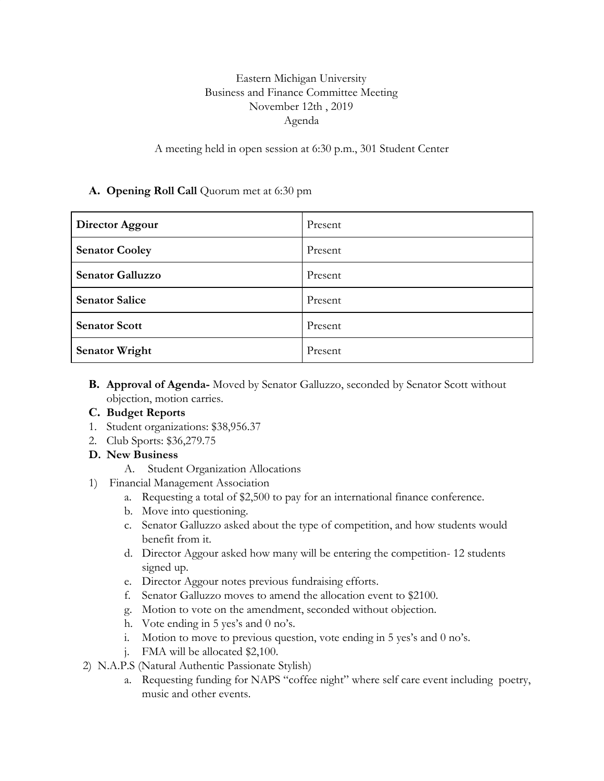## Eastern Michigan University Business and Finance Committee Meeting November 12th , 2019 Agenda

A meeting held in open session at 6:30 p.m., 301 Student Center

## **A. Opening Roll Call** Quorum met at 6:30 pm

| Director Aggour         | Present |
|-------------------------|---------|
| <b>Senator Cooley</b>   | Present |
| <b>Senator Galluzzo</b> | Present |
| <b>Senator Salice</b>   | Present |
| <b>Senator Scott</b>    | Present |
| <b>Senator Wright</b>   | Present |

- **B. Approval of Agenda-** Moved by Senator Galluzzo, seconded by Senator Scott without objection, motion carries.
- **C. Budget Reports**
- 1. Student organizations: \$38,956.37
- 2. Club Sports: \$36,279.75
- **D. New Business**
	- A. Student Organization Allocations
- 1) Financial Management Association
	- a. Requesting a total of \$2,500 to pay for an international finance conference.
	- b. Move into questioning.
	- c. Senator Galluzzo asked about the type of competition, and how students would benefit from it.
	- d. Director Aggour asked how many will be entering the competition- 12 students signed up.
	- e. Director Aggour notes previous fundraising efforts.
	- f. Senator Galluzzo moves to amend the allocation event to \$2100.
	- g. Motion to vote on the amendment, seconded without objection.
	- h. Vote ending in 5 yes's and 0 no's.
	- i. Motion to move to previous question, vote ending in 5 yes's and 0 no's.
	- j. FMA will be allocated \$2,100.
- 2) N.A.P.S (Natural Authentic Passionate Stylish)
	- a. Requesting funding for NAPS "coffee night" where self care event including poetry, music and other events.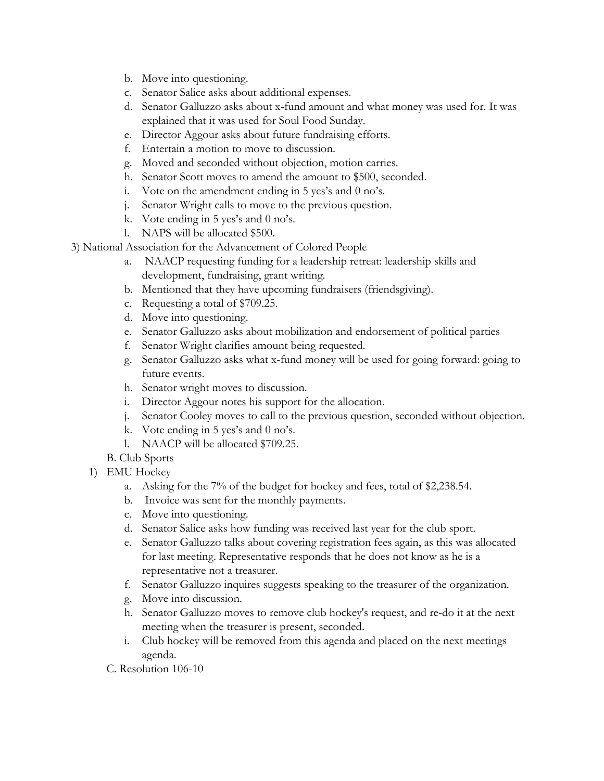- b. Move into questioning.
- c. Senator Salice asks about additional expenses.
- d. Senator Galluzzo asks about x-fund amount and what money was used for. It was explained that it was used for Soul Food Sunday.
- e. Director Aggour asks about future fundraising efforts.
- f. Entertain a motion to move to discussion.
- g. Moved and seconded without objection, motion carries.
- h. Senator Scott moves to amend the amount to \$500, seconded.
- i. Vote on the amendment ending in 5 yes's and 0 no's.
- j. Senator Wright calls to move to the previous question.
- k. Vote ending in 5 yes's and 0 no's.
- l. NAPS will be allocated \$500.
- 3) National Association for the Advancement of Colored People
	- a. NAACP requesting funding for a leadership retreat: leadership skills and development, fundraising, grant writing.
	- b. Mentioned that they have upcoming fundraisers (friendsgiving).
	- c. Requesting a total of \$709.25.
	- d. Move into questioning.
	- e. Senator Galluzzo asks about mobilization and endorsement of political parties
	- f. Senator Wright clarifies amount being requested.
	- g. Senator Galluzzo asks what x-fund money will be used for going forward: going to future events.
	- h. Senator wright moves to discussion.
	- i. Director Aggour notes his support for the allocation.
	- j. Senator Cooley moves to call to the previous question, seconded without objection.
	- k. Vote ending in 5 yes's and 0 no's.
	- l. NAACP will be allocated \$709.25.
	- B. Club Sports
	- 1) EMU Hockey
		- a. Asking for the 7% of the budget for hockey and fees, total of \$2,238.54.
		- b. Invoice was sent for the monthly payments.
		- c. Move into questioning.
		- d. Senator Salice asks how funding was received last year for the club sport.
		- e. Senator Galluzzo talks about covering registration fees again, as this was allocated for last meeting. Representative responds that he does not know as he is a representative not a treasurer.
		- f. Senator Galluzzo inquires suggests speaking to the treasurer of the organization.
		- g. Move into discussion.
		- h. Senator Galluzzo moves to remove club hockey's request, and re-do it at the next meeting when the treasurer is present, seconded.
		- i. Club hockey will be removed from this agenda and placed on the next meetings agenda.
		- C. Resolution 106-10